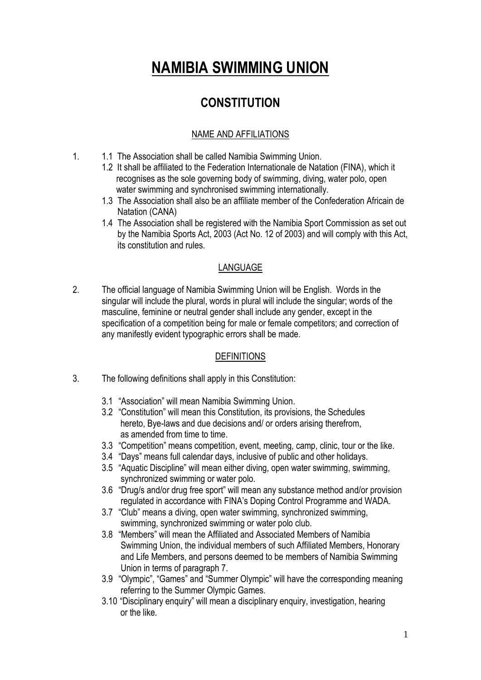# **NAMIBIA SWIMMING UNION**

## **CONSTITUTION**

#### NAME AND AFFILIATIONS

- 1. 1.1 The Association shall be called Namibia Swimming Union.
	- 1.2 It shall be affiliated to the Federation Internationale de Natation (FINA), which it recognises as the sole governing body of swimming, diving, water polo, open water swimming and synchronised swimming internationally.
	- 1.3 The Association shall also be an affiliate member of the Confederation Africain de Natation (CANA)
	- 1.4 The Association shall be registered with the Namibia Sport Commission as set out by the Namibia Sports Act, 2003 (Act No. 12 of 2003) and will comply with this Act, its constitution and rules.

#### LANGUAGE

2. The official language of Namibia Swimming Union will be English. Words in the singular will include the plural, words in plural will include the singular; words of the masculine, feminine or neutral gender shall include any gender, except in the specification of a competition being for male or female competitors; and correction of any manifestly evident typographic errors shall be made.

#### DEFINITIONS

- 3. The following definitions shall apply in this Constitution:
	- 3.1 "Association" will mean Namibia Swimming Union.
	- 3.2 "Constitution" will mean this Constitution, its provisions, the Schedules hereto, Bye-laws and due decisions and/ or orders arising therefrom, as amended from time to time.
	- 3.3 "Competition" means competition, event, meeting, camp, clinic, tour or the like.
	- 3.4 "Days" means full calendar days, inclusive of public and other holidays.
	- 3.5 "Aquatic Discipline" will mean either diving, open water swimming, swimming, synchronized swimming or water polo.
	- 3.6 "Drug/s and/or drug free sport" will mean any substance method and/or provision regulated in accordance with FINA's Doping Control Programme and WADA.
	- 3.7 "Club" means a diving, open water swimming, synchronized swimming, swimming, synchronized swimming or water polo club.
	- 3.8 "Members" will mean the Affiliated and Associated Members of Namibia Swimming Union, the individual members of such Affiliated Members, Honorary and Life Members, and persons deemed to be members of Namibia Swimming Union in terms of paragraph 7.
	- 3.9 "Olympic", "Games" and "Summer Olympic" will have the corresponding meaning referring to the Summer Olympic Games.
	- 3.10 "Disciplinary enquiry" will mean a disciplinary enquiry, investigation, hearing or the like.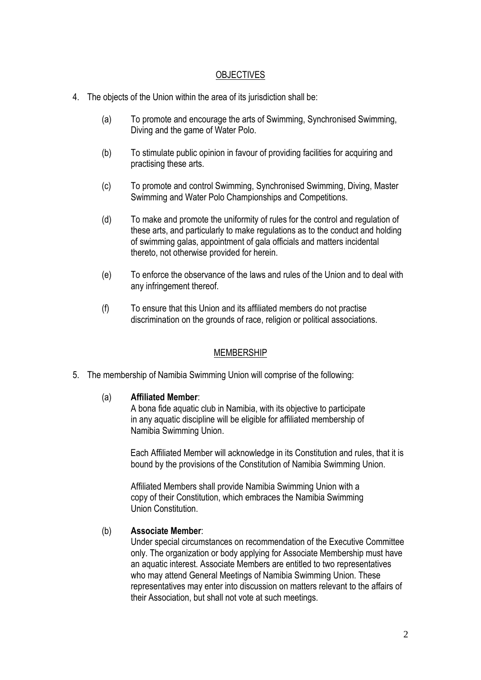#### **OBJECTIVES**

- 4. The objects of the Union within the area of its jurisdiction shall be:
	- (a) To promote and encourage the arts of Swimming, Synchronised Swimming, Diving and the game of Water Polo.
	- (b) To stimulate public opinion in favour of providing facilities for acquiring and practising these arts.
	- (c) To promote and control Swimming, Synchronised Swimming, Diving, Master Swimming and Water Polo Championships and Competitions.
	- (d) To make and promote the uniformity of rules for the control and regulation of these arts, and particularly to make regulations as to the conduct and holding of swimming galas, appointment of gala officials and matters incidental thereto, not otherwise provided for herein.
	- (e) To enforce the observance of the laws and rules of the Union and to deal with any infringement thereof.
	- (f) To ensure that this Union and its affiliated members do not practise discrimination on the grounds of race, religion or political associations.

#### MEMBERSHIP

5. The membership of Namibia Swimming Union will comprise of the following:

#### (a) **Affiliated Member**:

A bona fide aquatic club in Namibia, with its objective to participate in any aquatic discipline will be eligible for affiliated membership of Namibia Swimming Union.

 Each Affiliated Member will acknowledge in its Constitution and rules, that it is bound by the provisions of the Constitution of Namibia Swimming Union.

 Affiliated Members shall provide Namibia Swimming Union with a copy of their Constitution, which embraces the Namibia Swimming Union Constitution.

#### (b) **Associate Member**:

Under special circumstances on recommendation of the Executive Committee only. The organization or body applying for Associate Membership must have an aquatic interest. Associate Members are entitled to two representatives who may attend General Meetings of Namibia Swimming Union. These representatives may enter into discussion on matters relevant to the affairs of their Association, but shall not vote at such meetings.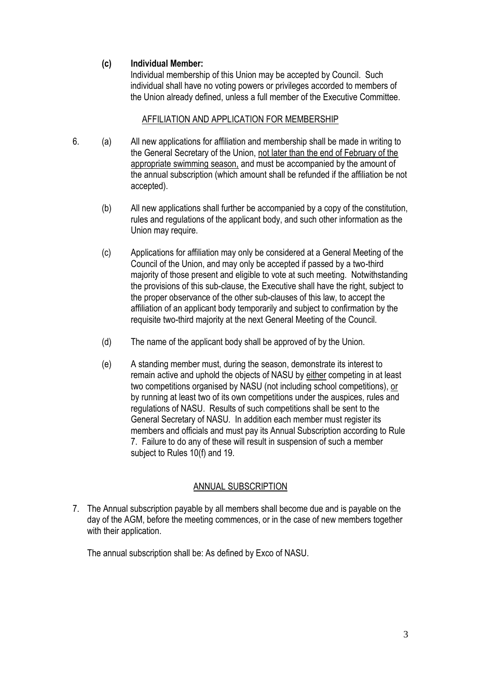#### **(c) Individual Member:**

 Individual membership of this Union may be accepted by Council. Such individual shall have no voting powers or privileges accorded to members of the Union already defined, unless a full member of the Executive Committee.

#### AFFILIATION AND APPLICATION FOR MEMBERSHIP

- 6. (a) All new applications for affiliation and membership shall be made in writing to the General Secretary of the Union, not later than the end of February of the appropriate swimming season, and must be accompanied by the amount of the annual subscription (which amount shall be refunded if the affiliation be not accepted).
	- (b) All new applications shall further be accompanied by a copy of the constitution, rules and regulations of the applicant body, and such other information as the Union may require.
	- (c) Applications for affiliation may only be considered at a General Meeting of the Council of the Union, and may only be accepted if passed by a two-third majority of those present and eligible to vote at such meeting. Notwithstanding the provisions of this sub-clause, the Executive shall have the right, subject to the proper observance of the other sub-clauses of this law, to accept the affiliation of an applicant body temporarily and subject to confirmation by the requisite two-third majority at the next General Meeting of the Council.
	- (d) The name of the applicant body shall be approved of by the Union.
	- (e) A standing member must, during the season, demonstrate its interest to remain active and uphold the objects of NASU by either competing in at least two competitions organised by NASU (not including school competitions), or by running at least two of its own competitions under the auspices, rules and regulations of NASU. Results of such competitions shall be sent to the General Secretary of NASU. In addition each member must register its members and officials and must pay its Annual Subscription according to Rule 7. Failure to do any of these will result in suspension of such a member subject to Rules 10(f) and 19.

#### ANNUAL SUBSCRIPTION

7. The Annual subscription payable by all members shall become due and is payable on the day of the AGM, before the meeting commences, or in the case of new members together with their application.

The annual subscription shall be: As defined by Exco of NASU.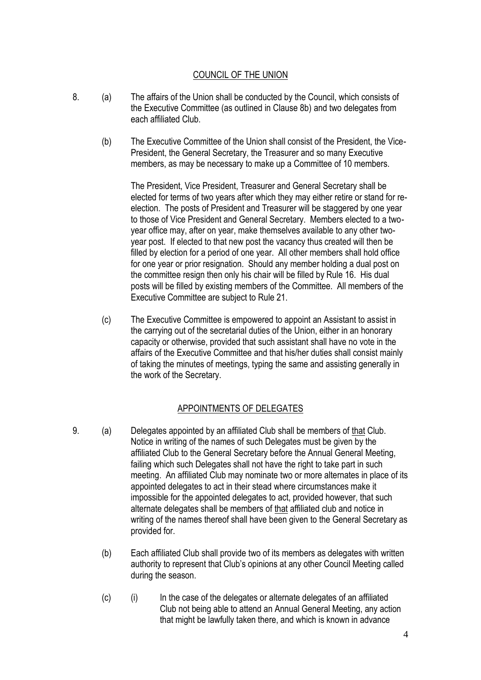#### COUNCIL OF THE UNION

- 8. (a) The affairs of the Union shall be conducted by the Council, which consists of the Executive Committee (as outlined in Clause 8b) and two delegates from each affiliated Club.
	- (b) The Executive Committee of the Union shall consist of the President, the Vice-President, the General Secretary, the Treasurer and so many Executive members, as may be necessary to make up a Committee of 10 members.

The President, Vice President, Treasurer and General Secretary shall be elected for terms of two years after which they may either retire or stand for reelection. The posts of President and Treasurer will be staggered by one year to those of Vice President and General Secretary. Members elected to a twoyear office may, after on year, make themselves available to any other twoyear post. If elected to that new post the vacancy thus created will then be filled by election for a period of one year. All other members shall hold office for one year or prior resignation. Should any member holding a dual post on the committee resign then only his chair will be filled by Rule 16. His dual posts will be filled by existing members of the Committee. All members of the Executive Committee are subject to Rule 21.

(c) The Executive Committee is empowered to appoint an Assistant to assist in the carrying out of the secretarial duties of the Union, either in an honorary capacity or otherwise, provided that such assistant shall have no vote in the affairs of the Executive Committee and that his/her duties shall consist mainly of taking the minutes of meetings, typing the same and assisting generally in the work of the Secretary.

#### APPOINTMENTS OF DELEGATES

- 9. (a) Delegates appointed by an affiliated Club shall be members of that Club. Notice in writing of the names of such Delegates must be given by the affiliated Club to the General Secretary before the Annual General Meeting, failing which such Delegates shall not have the right to take part in such meeting. An affiliated Club may nominate two or more alternates in place of its appointed delegates to act in their stead where circumstances make it impossible for the appointed delegates to act, provided however, that such alternate delegates shall be members of that affiliated club and notice in writing of the names thereof shall have been given to the General Secretary as provided for.
	- (b) Each affiliated Club shall provide two of its members as delegates with written authority to represent that Club's opinions at any other Council Meeting called during the season.
	- (c) (i) In the case of the delegates or alternate delegates of an affiliated Club not being able to attend an Annual General Meeting, any action that might be lawfully taken there, and which is known in advance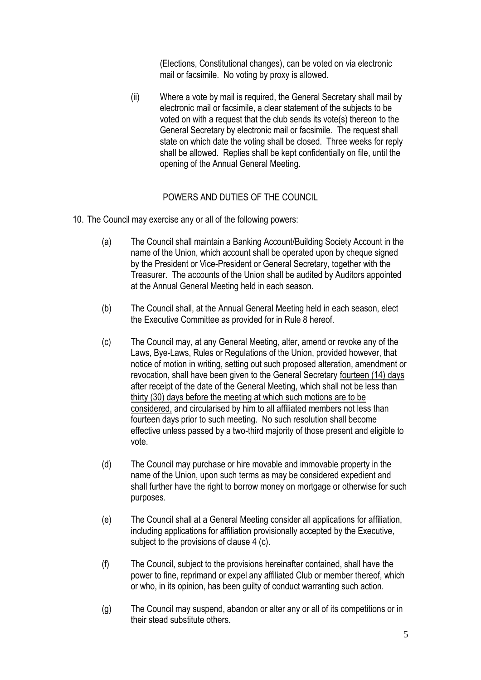(Elections, Constitutional changes), can be voted on via electronic mail or facsimile. No voting by proxy is allowed.

(ii) Where a vote by mail is required, the General Secretary shall mail by electronic mail or facsimile, a clear statement of the subjects to be voted on with a request that the club sends its vote(s) thereon to the General Secretary by electronic mail or facsimile. The request shall state on which date the voting shall be closed. Three weeks for reply shall be allowed. Replies shall be kept confidentially on file, until the opening of the Annual General Meeting.

#### POWERS AND DUTIES OF THE COUNCIL

- 10. The Council may exercise any or all of the following powers:
	- (a) The Council shall maintain a Banking Account/Building Society Account in the name of the Union, which account shall be operated upon by cheque signed by the President or Vice-President or General Secretary, together with the Treasurer. The accounts of the Union shall be audited by Auditors appointed at the Annual General Meeting held in each season.
	- (b) The Council shall, at the Annual General Meeting held in each season, elect the Executive Committee as provided for in Rule 8 hereof.
	- (c) The Council may, at any General Meeting, alter, amend or revoke any of the Laws, Bye-Laws, Rules or Regulations of the Union, provided however, that notice of motion in writing, setting out such proposed alteration, amendment or revocation, shall have been given to the General Secretary fourteen (14) days after receipt of the date of the General Meeting, which shall not be less than thirty (30) days before the meeting at which such motions are to be considered, and circularised by him to all affiliated members not less than fourteen days prior to such meeting. No such resolution shall become effective unless passed by a two-third majority of those present and eligible to vote.
	- (d) The Council may purchase or hire movable and immovable property in the name of the Union, upon such terms as may be considered expedient and shall further have the right to borrow money on mortgage or otherwise for such purposes.
	- (e) The Council shall at a General Meeting consider all applications for affiliation, including applications for affiliation provisionally accepted by the Executive, subject to the provisions of clause 4 (c).
	- (f) The Council, subject to the provisions hereinafter contained, shall have the power to fine, reprimand or expel any affiliated Club or member thereof, which or who, in its opinion, has been guilty of conduct warranting such action.
	- (g) The Council may suspend, abandon or alter any or all of its competitions or in their stead substitute others.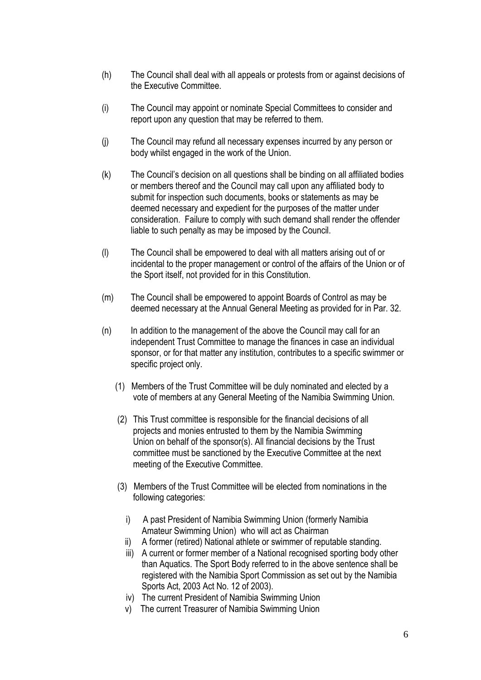- (h) The Council shall deal with all appeals or protests from or against decisions of the Executive Committee.
- (i) The Council may appoint or nominate Special Committees to consider and report upon any question that may be referred to them.
- (j) The Council may refund all necessary expenses incurred by any person or body whilst engaged in the work of the Union.
- (k) The Council's decision on all questions shall be binding on all affiliated bodies or members thereof and the Council may call upon any affiliated body to submit for inspection such documents, books or statements as may be deemed necessary and expedient for the purposes of the matter under consideration. Failure to comply with such demand shall render the offender liable to such penalty as may be imposed by the Council.
- (l) The Council shall be empowered to deal with all matters arising out of or incidental to the proper management or control of the affairs of the Union or of the Sport itself, not provided for in this Constitution.
- (m) The Council shall be empowered to appoint Boards of Control as may be deemed necessary at the Annual General Meeting as provided for in Par. 32.
- (n) In addition to the management of the above the Council may call for an independent Trust Committee to manage the finances in case an individual sponsor, or for that matter any institution, contributes to a specific swimmer or specific project only.
	- (1) Members of the Trust Committee will be duly nominated and elected by a vote of members at any General Meeting of the Namibia Swimming Union.
	- (2) This Trust committee is responsible for the financial decisions of all projects and monies entrusted to them by the Namibia Swimming Union on behalf of the sponsor(s). All financial decisions by the Trust committee must be sanctioned by the Executive Committee at the next meeting of the Executive Committee.
	- (3) Members of the Trust Committee will be elected from nominations in the following categories:
		- i) A past President of Namibia Swimming Union (formerly Namibia Amateur Swimming Union) who will act as Chairman
		- ii) A former (retired) National athlete or swimmer of reputable standing.
		- iii) A current or former member of a National recognised sporting body other than Aquatics. The Sport Body referred to in the above sentence shall be registered with the Namibia Sport Commission as set out by the Namibia Sports Act, 2003 Act No. 12 of 2003).
		- iv) The current President of Namibia Swimming Union
		- v) The current Treasurer of Namibia Swimming Union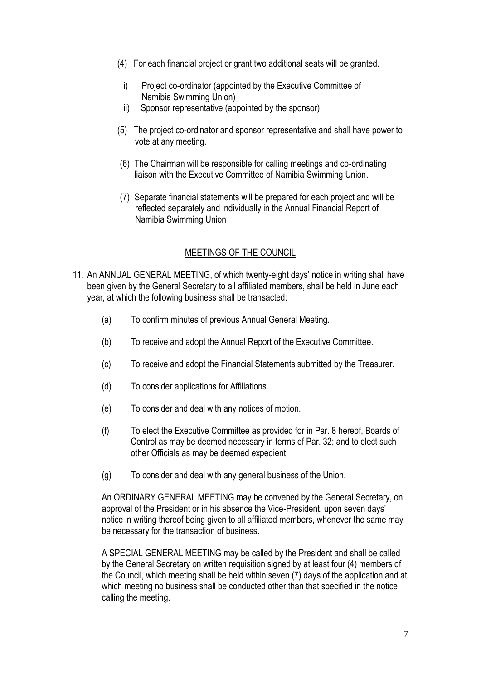- (4) For each financial project or grant two additional seats will be granted.
	- i) Project co-ordinator (appointed by the Executive Committee of Namibia Swimming Union)
	- ii) Sponsor representative (appointed by the sponsor)
- (5) The project co-ordinator and sponsor representative and shall have power to vote at any meeting.
- (6) The Chairman will be responsible for calling meetings and co-ordinating liaison with the Executive Committee of Namibia Swimming Union.
- (7) Separate financial statements will be prepared for each project and will be reflected separately and individually in the Annual Financial Report of Namibia Swimming Union

#### MEETINGS OF THE COUNCIL

- 11. An ANNUAL GENERAL MEETING, of which twenty-eight days' notice in writing shall have been given by the General Secretary to all affiliated members, shall be held in June each year, at which the following business shall be transacted:
	- (a) To confirm minutes of previous Annual General Meeting.
	- (b) To receive and adopt the Annual Report of the Executive Committee.
	- (c) To receive and adopt the Financial Statements submitted by the Treasurer.
	- (d) To consider applications for Affiliations.
	- (e) To consider and deal with any notices of motion.
	- (f) To elect the Executive Committee as provided for in Par. 8 hereof, Boards of Control as may be deemed necessary in terms of Par. 32; and to elect such other Officials as may be deemed expedient.
	- (g) To consider and deal with any general business of the Union.

An ORDINARY GENERAL MEETING may be convened by the General Secretary, on approval of the President or in his absence the Vice-President, upon seven days' notice in writing thereof being given to all affiliated members, whenever the same may be necessary for the transaction of business.

A SPECIAL GENERAL MEETING may be called by the President and shall be called by the General Secretary on written requisition signed by at least four (4) members of the Council, which meeting shall be held within seven (7) days of the application and at which meeting no business shall be conducted other than that specified in the notice calling the meeting.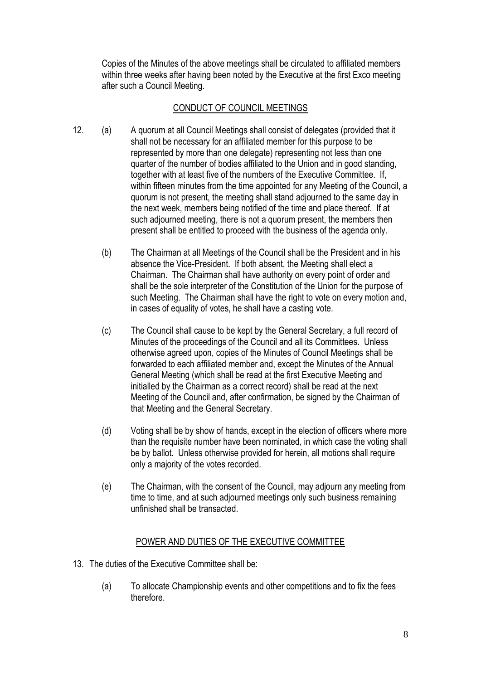Copies of the Minutes of the above meetings shall be circulated to affiliated members within three weeks after having been noted by the Executive at the first Exco meeting after such a Council Meeting.

#### CONDUCT OF COUNCIL MEETINGS

- 12. (a) A quorum at all Council Meetings shall consist of delegates (provided that it shall not be necessary for an affiliated member for this purpose to be represented by more than one delegate) representing not less than one quarter of the number of bodies affiliated to the Union and in good standing, together with at least five of the numbers of the Executive Committee. If, within fifteen minutes from the time appointed for any Meeting of the Council, a quorum is not present, the meeting shall stand adjourned to the same day in the next week, members being notified of the time and place thereof. If at such adjourned meeting, there is not a quorum present, the members then present shall be entitled to proceed with the business of the agenda only.
	- (b) The Chairman at all Meetings of the Council shall be the President and in his absence the Vice-President. If both absent, the Meeting shall elect a Chairman. The Chairman shall have authority on every point of order and shall be the sole interpreter of the Constitution of the Union for the purpose of such Meeting. The Chairman shall have the right to vote on every motion and, in cases of equality of votes, he shall have a casting vote.
	- (c) The Council shall cause to be kept by the General Secretary, a full record of Minutes of the proceedings of the Council and all its Committees. Unless otherwise agreed upon, copies of the Minutes of Council Meetings shall be forwarded to each affiliated member and, except the Minutes of the Annual General Meeting (which shall be read at the first Executive Meeting and initialled by the Chairman as a correct record) shall be read at the next Meeting of the Council and, after confirmation, be signed by the Chairman of that Meeting and the General Secretary.
	- (d) Voting shall be by show of hands, except in the election of officers where more than the requisite number have been nominated, in which case the voting shall be by ballot. Unless otherwise provided for herein, all motions shall require only a majority of the votes recorded.
	- (e) The Chairman, with the consent of the Council, may adjourn any meeting from time to time, and at such adjourned meetings only such business remaining unfinished shall be transacted.

#### POWER AND DUTIES OF THE EXECUTIVE COMMITTEE

- 13. The duties of the Executive Committee shall be:
	- (a) To allocate Championship events and other competitions and to fix the fees therefore.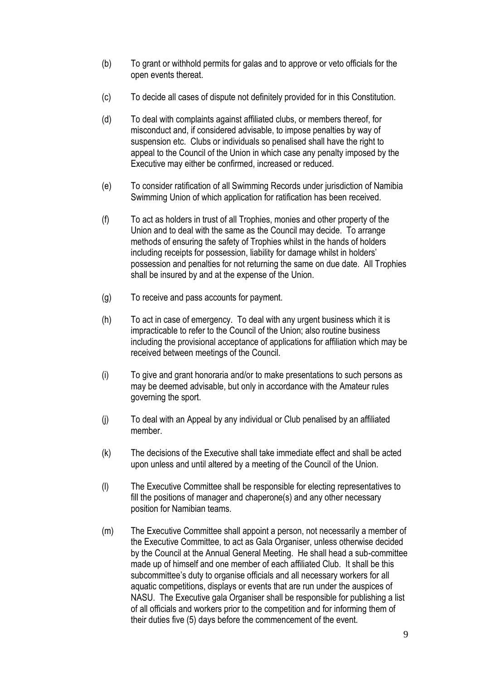- (b) To grant or withhold permits for galas and to approve or veto officials for the open events thereat.
- (c) To decide all cases of dispute not definitely provided for in this Constitution.
- (d) To deal with complaints against affiliated clubs, or members thereof, for misconduct and, if considered advisable, to impose penalties by way of suspension etc. Clubs or individuals so penalised shall have the right to appeal to the Council of the Union in which case any penalty imposed by the Executive may either be confirmed, increased or reduced.
- (e) To consider ratification of all Swimming Records under jurisdiction of Namibia Swimming Union of which application for ratification has been received.
- (f) To act as holders in trust of all Trophies, monies and other property of the Union and to deal with the same as the Council may decide. To arrange methods of ensuring the safety of Trophies whilst in the hands of holders including receipts for possession, liability for damage whilst in holders' possession and penalties for not returning the same on due date. All Trophies shall be insured by and at the expense of the Union.
- (g) To receive and pass accounts for payment.
- (h) To act in case of emergency. To deal with any urgent business which it is impracticable to refer to the Council of the Union; also routine business including the provisional acceptance of applications for affiliation which may be received between meetings of the Council.
- (i) To give and grant honoraria and/or to make presentations to such persons as may be deemed advisable, but only in accordance with the Amateur rules governing the sport.
- (j) To deal with an Appeal by any individual or Club penalised by an affiliated member.
- (k) The decisions of the Executive shall take immediate effect and shall be acted upon unless and until altered by a meeting of the Council of the Union.
- (l) The Executive Committee shall be responsible for electing representatives to fill the positions of manager and chaperone(s) and any other necessary position for Namibian teams.
- (m) The Executive Committee shall appoint a person, not necessarily a member of the Executive Committee, to act as Gala Organiser, unless otherwise decided by the Council at the Annual General Meeting. He shall head a sub-committee made up of himself and one member of each affiliated Club. It shall be this subcommittee's duty to organise officials and all necessary workers for all aquatic competitions, displays or events that are run under the auspices of NASU. The Executive gala Organiser shall be responsible for publishing a list of all officials and workers prior to the competition and for informing them of their duties five (5) days before the commencement of the event.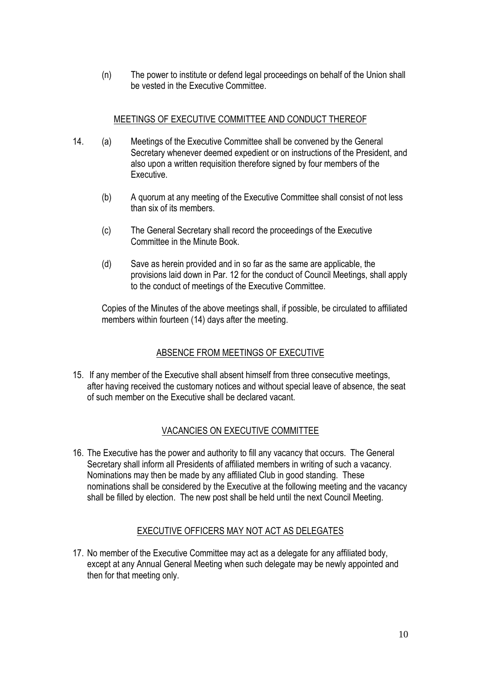(n) The power to institute or defend legal proceedings on behalf of the Union shall be vested in the Executive Committee.

#### MEETINGS OF EXECUTIVE COMMITTEE AND CONDUCT THEREOF

- 14. (a) Meetings of the Executive Committee shall be convened by the General Secretary whenever deemed expedient or on instructions of the President, and also upon a written requisition therefore signed by four members of the **Executive** 
	- (b) A quorum at any meeting of the Executive Committee shall consist of not less than six of its members.
	- (c) The General Secretary shall record the proceedings of the Executive Committee in the Minute Book.
	- (d) Save as herein provided and in so far as the same are applicable, the provisions laid down in Par. 12 for the conduct of Council Meetings, shall apply to the conduct of meetings of the Executive Committee.

Copies of the Minutes of the above meetings shall, if possible, be circulated to affiliated members within fourteen (14) days after the meeting.

#### ABSENCE FROM MEETINGS OF EXECUTIVE

15. If any member of the Executive shall absent himself from three consecutive meetings, after having received the customary notices and without special leave of absence, the seat of such member on the Executive shall be declared vacant.

#### VACANCIES ON EXECUTIVE COMMITTEE

16. The Executive has the power and authority to fill any vacancy that occurs. The General Secretary shall inform all Presidents of affiliated members in writing of such a vacancy. Nominations may then be made by any affiliated Club in good standing. These nominations shall be considered by the Executive at the following meeting and the vacancy shall be filled by election. The new post shall be held until the next Council Meeting.

#### EXECUTIVE OFFICERS MAY NOT ACT AS DELEGATES

17. No member of the Executive Committee may act as a delegate for any affiliated body, except at any Annual General Meeting when such delegate may be newly appointed and then for that meeting only.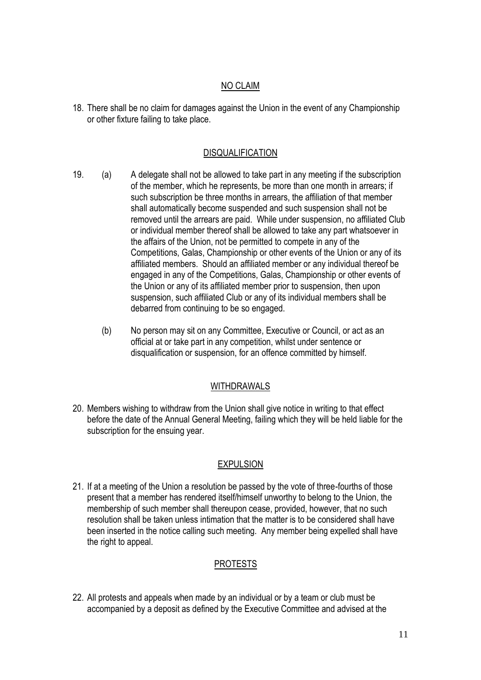#### NO CLAIM

18. There shall be no claim for damages against the Union in the event of any Championship or other fixture failing to take place.

#### DISQUALIFICATION

- 19. (a) A delegate shall not be allowed to take part in any meeting if the subscription of the member, which he represents, be more than one month in arrears; if such subscription be three months in arrears, the affiliation of that member shall automatically become suspended and such suspension shall not be removed until the arrears are paid. While under suspension, no affiliated Club or individual member thereof shall be allowed to take any part whatsoever in the affairs of the Union, not be permitted to compete in any of the Competitions, Galas, Championship or other events of the Union or any of its affiliated members. Should an affiliated member or any individual thereof be engaged in any of the Competitions, Galas, Championship or other events of the Union or any of its affiliated member prior to suspension, then upon suspension, such affiliated Club or any of its individual members shall be debarred from continuing to be so engaged.
	- (b) No person may sit on any Committee, Executive or Council, or act as an official at or take part in any competition, whilst under sentence or disqualification or suspension, for an offence committed by himself.

#### WITHDRAWALS

20. Members wishing to withdraw from the Union shall give notice in writing to that effect before the date of the Annual General Meeting, failing which they will be held liable for the subscription for the ensuing year.

#### EXPULSION

21. If at a meeting of the Union a resolution be passed by the vote of three-fourths of those present that a member has rendered itself/himself unworthy to belong to the Union, the membership of such member shall thereupon cease, provided, however, that no such resolution shall be taken unless intimation that the matter is to be considered shall have been inserted in the notice calling such meeting. Any member being expelled shall have the right to appeal.

#### PROTESTS

22. All protests and appeals when made by an individual or by a team or club must be accompanied by a deposit as defined by the Executive Committee and advised at the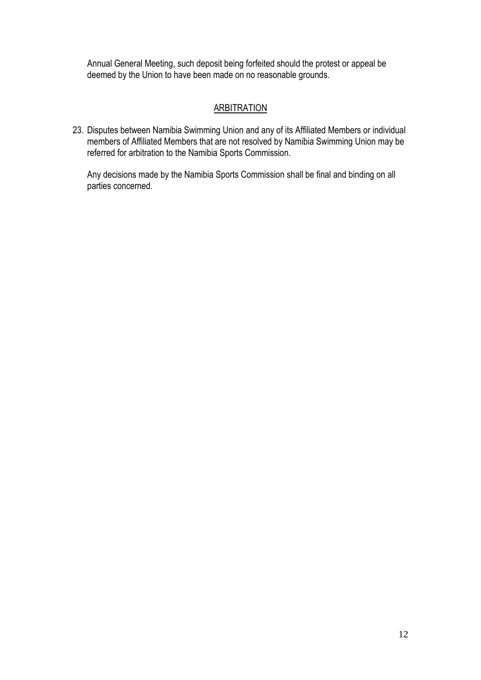Annual General Meeting, such deposit being forfeited should the protest or appeal be deemed by the Union to have been made on no reasonable grounds.

### **ARBITRATION**

23. Disputes between Namibia Swimming Union and any of its Affiliated Members or individual members of Affiliated Members that are not resolved by Namibia Swimming Union may be referred for arbitration to the Namibia Sports Commission.

Any decisions made by the Namibia Sports Commission shall be final and binding on all parties concerned.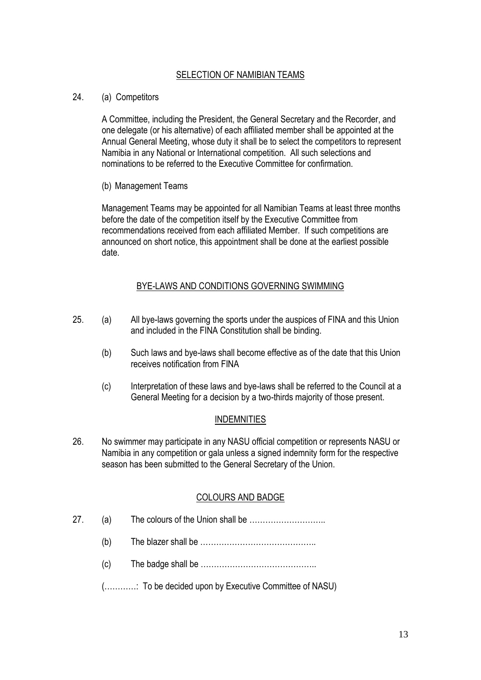#### SELECTION OF NAMIBIAN TEAMS

#### 24. (a) Competitors

A Committee, including the President, the General Secretary and the Recorder, and one delegate (or his alternative) of each affiliated member shall be appointed at the Annual General Meeting, whose duty it shall be to select the competitors to represent Namibia in any National or International competition. All such selections and nominations to be referred to the Executive Committee for confirmation.

(b) Management Teams

Management Teams may be appointed for all Namibian Teams at least three months before the date of the competition itself by the Executive Committee from recommendations received from each affiliated Member. If such competitions are announced on short notice, this appointment shall be done at the earliest possible date.

#### BYE-LAWS AND CONDITIONS GOVERNING SWIMMING

- 25. (a) All bye-laws governing the sports under the auspices of FINA and this Union and included in the FINA Constitution shall be binding.
	- (b) Such laws and bye-laws shall become effective as of the date that this Union receives notification from FINA
	- (c) Interpretation of these laws and bye-laws shall be referred to the Council at a General Meeting for a decision by a two-thirds majority of those present.

#### INDEMNITIES

26. No swimmer may participate in any NASU official competition or represents NASU or Namibia in any competition or gala unless a signed indemnity form for the respective season has been submitted to the General Secretary of the Union.

#### COLOURS AND BADGE

- 27. (a) The colours of the Union shall be ………………………..
	- (b) The blazer shall be  $\ldots$   $\ldots$   $\ldots$   $\ldots$   $\ldots$   $\ldots$   $\ldots$   $\ldots$   $\ldots$
	- (c) The badge shall be ……………………………………..
	- (…………: To be decided upon by Executive Committee of NASU)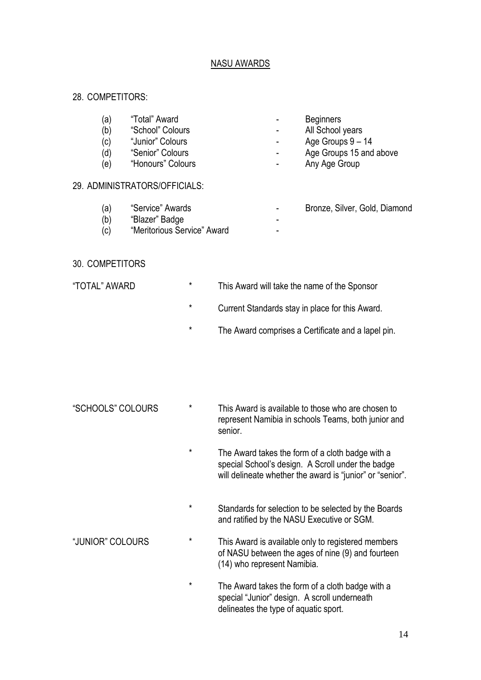#### NASU AWARDS

#### 28. COMPETITORS:

- (a) "Total" Award Beginners
- (b) "School" Colours All School years
- (c) "Junior" Colours Age Groups 9 14
- (d) "Senior" Colours **Colours Colours Figure 2 Age Groups 15 and above**
- (e) "Honours" Colours **1988 1988 1988 1988 1988 1988 1988 1988 1988 1988 1988 1988 1988 1988 1988 1988 1988 1988 1988 1988 1988 1988 1988 1988 1988 1988 1988 1988 198**

#### 29. ADMINISTRATORS/OFFICIALS:

- (a) "Service" Awards Bronze, Silver, Gold, Diamond
- (b) "Blazer" Badge
- (c) "Meritorious Service" Award

#### 30. COMPETITORS

- 
- "TOTAL" AWARD \* This Award will take the name of the Sponsor
	- \* Current Standards stay in place for this Award.
	- \* The Award comprises a Certificate and a lapel pin.

- "SCHOOLS" COLOURS \* This Award is available to those who are chosen to represent Namibia in schools Teams, both junior and senior.
	- \* The Award takes the form of a cloth badge with a special School's design. A Scroll under the badge will delineate whether the award is "junior" or "senior".
	- \* Standards for selection to be selected by the Boards and ratified by the NASU Executive or SGM.
- "JUNIOR" COLOURS \* This Award is available only to registered members of NASU between the ages of nine (9) and fourteen (14) who represent Namibia.
	- \* The Award takes the form of a cloth badge with a special "Junior" design. A scroll underneath delineates the type of aquatic sport.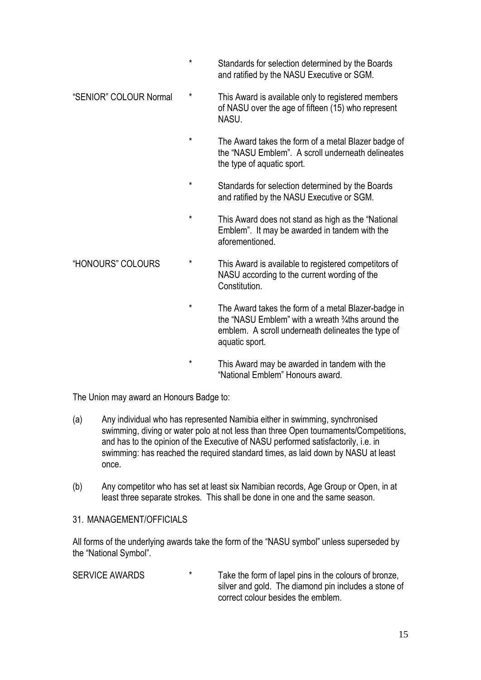- \* Standards for selection determined by the Boards and ratified by the NASU Executive or SGM.
- "SENIOR" COLOUR Normal \* This Award is available only to registered members of NASU over the age of fifteen (15) who represent NASU.
	- \* The Award takes the form of a metal Blazer badge of the "NASU Emblem". A scroll underneath delineates the type of aquatic sport.
	- \* Standards for selection determined by the Boards and ratified by the NASU Executive or SGM.
	- \* This Award does not stand as high as the "National Emblem". It may be awarded in tandem with the aforementioned.
- "HONOURS" COLOURS \* This Award is available to registered competitors of NASU according to the current wording of the **Constitution** 
	- \* The Award takes the form of a metal Blazer-badge in the "NASU Emblem" with a wreath ¾ths around the emblem. A scroll underneath delineates the type of aquatic sport.
	- \* This Award may be awarded in tandem with the "National Emblem" Honours award.

The Union may award an Honours Badge to:

- (a) Any individual who has represented Namibia either in swimming, synchronised swimming, diving or water polo at not less than three Open tournaments/Competitions, and has to the opinion of the Executive of NASU performed satisfactorily, i.e. in swimming: has reached the required standard times, as laid down by NASU at least once.
- (b) Any competitor who has set at least six Namibian records, Age Group or Open, in at least three separate strokes. This shall be done in one and the same season.
- 31. MANAGEMENT/OFFICIALS

All forms of the underlying awards take the form of the "NASU symbol" unless superseded by the "National Symbol".

| <b>SERVICE AWARDS</b> | $\star$ | Take the form of lapel pins in the colours of bronze, |
|-----------------------|---------|-------------------------------------------------------|
|                       |         | silver and gold. The diamond pin includes a stone of  |
|                       |         | correct colour besides the emblem.                    |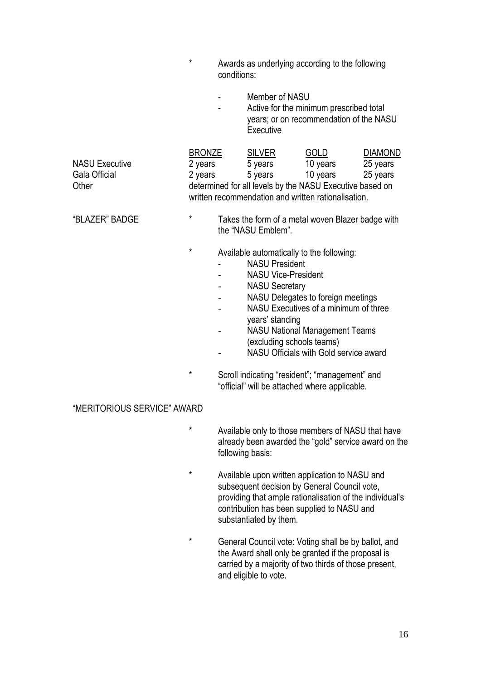|                                                 | $^{\star}$                          | conditions:                                                                                                                                                                                                                                                                                                                                                                                   | Awards as underlying according to the following<br>Member of NASU<br>Active for the minimum prescribed total<br>years; or on recommendation of the NASU<br>Executive |                                     |                                        |
|-------------------------------------------------|-------------------------------------|-----------------------------------------------------------------------------------------------------------------------------------------------------------------------------------------------------------------------------------------------------------------------------------------------------------------------------------------------------------------------------------------------|----------------------------------------------------------------------------------------------------------------------------------------------------------------------|-------------------------------------|----------------------------------------|
|                                                 |                                     |                                                                                                                                                                                                                                                                                                                                                                                               |                                                                                                                                                                      |                                     |                                        |
| <b>NASU Executive</b><br>Gala Official<br>Other | <b>BRONZE</b><br>2 years<br>2 years |                                                                                                                                                                                                                                                                                                                                                                                               | <b>SILVER</b><br>5 years<br>5 years<br>determined for all levels by the NASU Executive based on<br>written recommendation and written rationalisation.               | <b>GOLD</b><br>10 years<br>10 years | <b>DIAMOND</b><br>25 years<br>25 years |
| "BLAZER" BADGE                                  | $^\star$                            |                                                                                                                                                                                                                                                                                                                                                                                               | Takes the form of a metal woven Blazer badge with<br>the "NASU Emblem".                                                                                              |                                     |                                        |
|                                                 | *<br>$\star$                        | Available automatically to the following:<br><b>NASU President</b><br><b>NASU Vice-President</b><br><b>NASU Secretary</b><br>NASU Delegates to foreign meetings<br>NASU Executives of a minimum of three<br>years' standing<br><b>NASU National Management Teams</b><br>(excluding schools teams)<br>NASU Officials with Gold service award<br>Scroll indicating "resident"; "management" and |                                                                                                                                                                      |                                     |                                        |
|                                                 |                                     |                                                                                                                                                                                                                                                                                                                                                                                               | "official" will be attached where applicable.                                                                                                                        |                                     |                                        |
| "MERITORIOUS SERVICE" AWARD                     |                                     |                                                                                                                                                                                                                                                                                                                                                                                               |                                                                                                                                                                      |                                     |                                        |
|                                                 | $\star$                             |                                                                                                                                                                                                                                                                                                                                                                                               | Available only to those members of NASU that have                                                                                                                    |                                     |                                        |

- already been awarded the "gold" service award on the following basis:
- \* Available upon written application to NASU and subsequent decision by General Council vote, providing that ample rationalisation of the individual's contribution has been supplied to NASU and substantiated by them.
- \* General Council vote: Voting shall be by ballot, and the Award shall only be granted if the proposal is carried by a majority of two thirds of those present, and eligible to vote.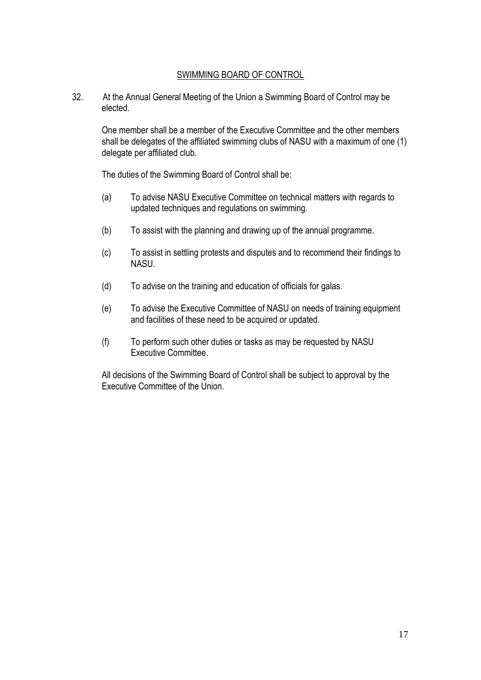#### SWIMMING BOARD OF CONTROL

32. At the Annual General Meeting of the Union a Swimming Board of Control may be elected.

One member shall be a member of the Executive Committee and the other members shall be delegates of the affiliated swimming clubs of NASU with a maximum of one (1) delegate per affiliated club.

The duties of the Swimming Board of Control shall be:

- (a) To advise NASU Executive Committee on technical matters with regards to updated techniques and regulations on swimming.
- (b) To assist with the planning and drawing up of the annual programme.
- (c) To assist in settling protests and disputes and to recommend their findings to NASU.
- (d) To advise on the training and education of officials for galas.
- (e) To advise the Executive Committee of NASU on needs of training equipment and facilities of these need to be acquired or updated.
- (f) To perform such other duties or tasks as may be requested by NASU Executive Committee.

All decisions of the Swimming Board of Control shall be subject to approval by the Executive Committee of the Union.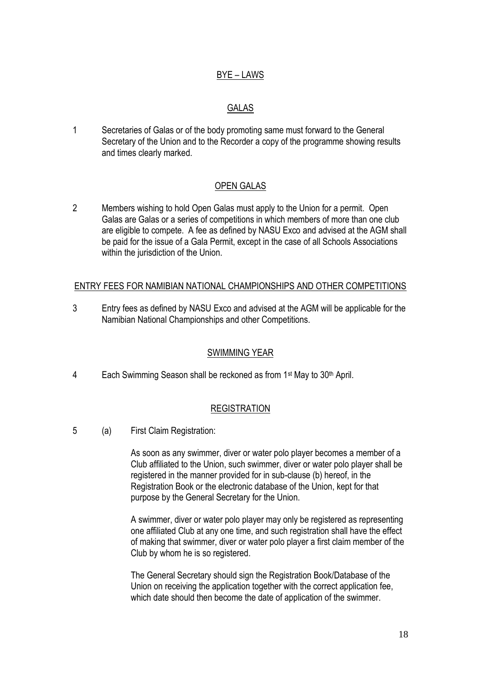#### BYE – LAWS

#### GALAS

1 Secretaries of Galas or of the body promoting same must forward to the General Secretary of the Union and to the Recorder a copy of the programme showing results and times clearly marked.

#### OPEN GALAS

2 Members wishing to hold Open Galas must apply to the Union for a permit. Open Galas are Galas or a series of competitions in which members of more than one club are eligible to compete. A fee as defined by NASU Exco and advised at the AGM shall be paid for the issue of a Gala Permit, except in the case of all Schools Associations within the jurisdiction of the Union.

#### ENTRY FEES FOR NAMIBIAN NATIONAL CHAMPIONSHIPS AND OTHER COMPETITIONS

3 Entry fees as defined by NASU Exco and advised at the AGM will be applicable for the Namibian National Championships and other Competitions.

#### SWIMMING YEAR

4 Each Swimming Season shall be reckoned as from 1<sup>st</sup> May to 30<sup>th</sup> April.

#### **REGISTRATION**

5 (a) First Claim Registration:

As soon as any swimmer, diver or water polo player becomes a member of a Club affiliated to the Union, such swimmer, diver or water polo player shall be registered in the manner provided for in sub-clause (b) hereof, in the Registration Book or the electronic database of the Union, kept for that purpose by the General Secretary for the Union.

A swimmer, diver or water polo player may only be registered as representing one affiliated Club at any one time, and such registration shall have the effect of making that swimmer, diver or water polo player a first claim member of the Club by whom he is so registered.

The General Secretary should sign the Registration Book/Database of the Union on receiving the application together with the correct application fee, which date should then become the date of application of the swimmer.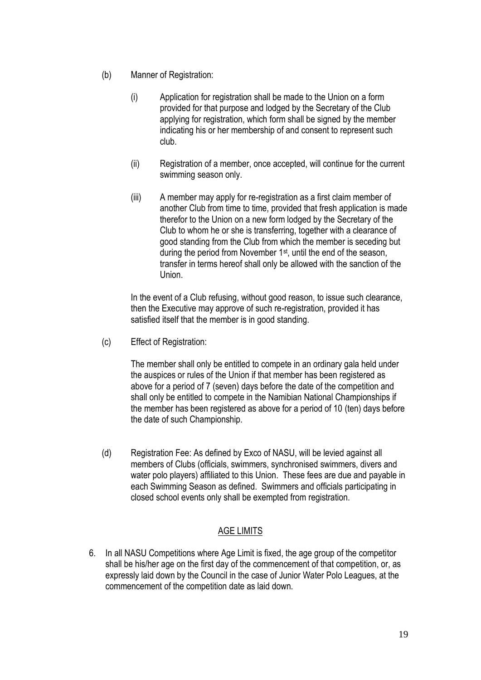- (b) Manner of Registration:
	- (i) Application for registration shall be made to the Union on a form provided for that purpose and lodged by the Secretary of the Club applying for registration, which form shall be signed by the member indicating his or her membership of and consent to represent such club.
	- (ii) Registration of a member, once accepted, will continue for the current swimming season only.
	- (iii) A member may apply for re-registration as a first claim member of another Club from time to time, provided that fresh application is made therefor to the Union on a new form lodged by the Secretary of the Club to whom he or she is transferring, together with a clearance of good standing from the Club from which the member is seceding but during the period from November 1<sup>st</sup>, until the end of the season, transfer in terms hereof shall only be allowed with the sanction of the Union.

In the event of a Club refusing, without good reason, to issue such clearance, then the Executive may approve of such re-registration, provided it has satisfied itself that the member is in good standing.

(c) Effect of Registration:

The member shall only be entitled to compete in an ordinary gala held under the auspices or rules of the Union if that member has been registered as above for a period of 7 (seven) days before the date of the competition and shall only be entitled to compete in the Namibian National Championships if the member has been registered as above for a period of 10 (ten) days before the date of such Championship.

(d) Registration Fee: As defined by Exco of NASU, will be levied against all members of Clubs (officials, swimmers, synchronised swimmers, divers and water polo players) affiliated to this Union. These fees are due and payable in each Swimming Season as defined. Swimmers and officials participating in closed school events only shall be exempted from registration.

#### AGE LIMITS

6. In all NASU Competitions where Age Limit is fixed, the age group of the competitor shall be his/her age on the first day of the commencement of that competition, or, as expressly laid down by the Council in the case of Junior Water Polo Leagues, at the commencement of the competition date as laid down.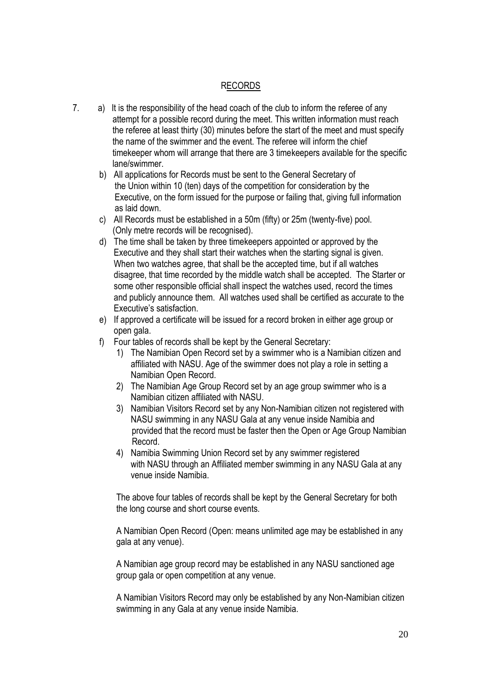#### RECORDS

- 7. a) It is the responsibility of the head coach of the club to inform the referee of any attempt for a possible record during the meet. This written information must reach the referee at least thirty (30) minutes before the start of the meet and must specify the name of the swimmer and the event. The referee will inform the chief timekeeper whom will arrange that there are 3 timekeepers available for the specific lane/swimmer.
	- b) All applications for Records must be sent to the General Secretary of the Union within 10 (ten) days of the competition for consideration by the Executive, on the form issued for the purpose or failing that, giving full information as laid down.
	- c) All Records must be established in a 50m (fifty) or 25m (twenty-five) pool. (Only metre records will be recognised).
	- d) The time shall be taken by three timekeepers appointed or approved by the Executive and they shall start their watches when the starting signal is given. When two watches agree, that shall be the accepted time, but if all watches disagree, that time recorded by the middle watch shall be accepted. The Starter or some other responsible official shall inspect the watches used, record the times and publicly announce them. All watches used shall be certified as accurate to the Executive's satisfaction.
	- e) If approved a certificate will be issued for a record broken in either age group or open gala.
	- f) Four tables of records shall be kept by the General Secretary:
		- 1) The Namibian Open Record set by a swimmer who is a Namibian citizen and affiliated with NASU. Age of the swimmer does not play a role in setting a Namibian Open Record.
		- 2) The Namibian Age Group Record set by an age group swimmer who is a Namibian citizen affiliated with NASU.
		- 3) Namibian Visitors Record set by any Non-Namibian citizen not registered with NASU swimming in any NASU Gala at any venue inside Namibia and provided that the record must be faster then the Open or Age Group Namibian Record.
		- 4) Namibia Swimming Union Record set by any swimmer registered with NASU through an Affiliated member swimming in any NASU Gala at any venue inside Namibia.

The above four tables of records shall be kept by the General Secretary for both the long course and short course events.

A Namibian Open Record (Open: means unlimited age may be established in any gala at any venue).

A Namibian age group record may be established in any NASU sanctioned age group gala or open competition at any venue.

A Namibian Visitors Record may only be established by any Non-Namibian citizen swimming in any Gala at any venue inside Namibia.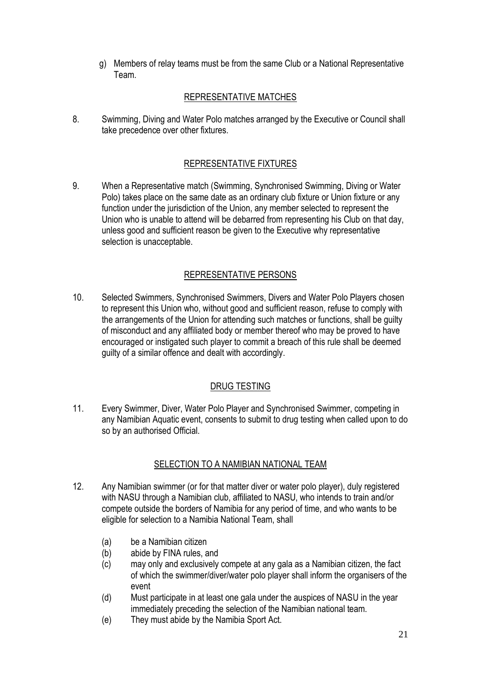g) Members of relay teams must be from the same Club or a National Representative Team.

#### REPRESENTATIVE MATCHES

8. Swimming, Diving and Water Polo matches arranged by the Executive or Council shall take precedence over other fixtures.

#### REPRESENTATIVE FIXTURES

9. When a Representative match (Swimming, Synchronised Swimming, Diving or Water Polo) takes place on the same date as an ordinary club fixture or Union fixture or any function under the jurisdiction of the Union, any member selected to represent the Union who is unable to attend will be debarred from representing his Club on that day, unless good and sufficient reason be given to the Executive why representative selection is unacceptable.

#### REPRESENTATIVE PERSONS

10. Selected Swimmers, Synchronised Swimmers, Divers and Water Polo Players chosen to represent this Union who, without good and sufficient reason, refuse to comply with the arrangements of the Union for attending such matches or functions, shall be guilty of misconduct and any affiliated body or member thereof who may be proved to have encouraged or instigated such player to commit a breach of this rule shall be deemed guilty of a similar offence and dealt with accordingly.

#### DRUG TESTING

11. Every Swimmer, Diver, Water Polo Player and Synchronised Swimmer, competing in any Namibian Aquatic event, consents to submit to drug testing when called upon to do so by an authorised Official.

#### SELECTION TO A NAMIBIAN NATIONAL TEAM

- 12. Any Namibian swimmer (or for that matter diver or water polo player), duly registered with NASU through a Namibian club, affiliated to NASU, who intends to train and/or compete outside the borders of Namibia for any period of time, and who wants to be eligible for selection to a Namibia National Team, shall
	- (a) be a Namibian citizen
	- (b) abide by FINA rules, and
	- (c) may only and exclusively compete at any gala as a Namibian citizen, the fact of which the swimmer/diver/water polo player shall inform the organisers of the event
	- (d) Must participate in at least one gala under the auspices of NASU in the year immediately preceding the selection of the Namibian national team.
	- (e) They must abide by the Namibia Sport Act.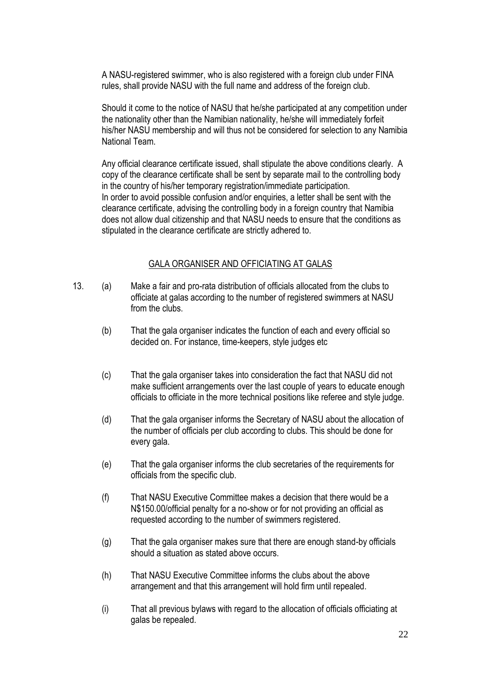A NASU-registered swimmer, who is also registered with a foreign club under FINA rules, shall provide NASU with the full name and address of the foreign club.

Should it come to the notice of NASU that he/she participated at any competition under the nationality other than the Namibian nationality, he/she will immediately forfeit his/her NASU membership and will thus not be considered for selection to any Namibia National Team.

Any official clearance certificate issued, shall stipulate the above conditions clearly. A copy of the clearance certificate shall be sent by separate mail to the controlling body in the country of his/her temporary registration/immediate participation. In order to avoid possible confusion and/or enquiries, a letter shall be sent with the clearance certificate, advising the controlling body in a foreign country that Namibia does not allow dual citizenship and that NASU needs to ensure that the conditions as stipulated in the clearance certificate are strictly adhered to.

#### GALA ORGANISER AND OFFICIATING AT GALAS

- 13. (a) Make a fair and pro-rata distribution of officials allocated from the clubs to officiate at galas according to the number of registered swimmers at NASU from the clubs.
	- (b) That the gala organiser indicates the function of each and every official so decided on. For instance, time-keepers, style judges etc
	- (c) That the gala organiser takes into consideration the fact that NASU did not make sufficient arrangements over the last couple of years to educate enough officials to officiate in the more technical positions like referee and style judge.
	- (d) That the gala organiser informs the Secretary of NASU about the allocation of the number of officials per club according to clubs. This should be done for every gala.
	- (e) That the gala organiser informs the club secretaries of the requirements for officials from the specific club.
	- (f) That NASU Executive Committee makes a decision that there would be a N\$150.00/official penalty for a no-show or for not providing an official as requested according to the number of swimmers registered.
	- (g) That the gala organiser makes sure that there are enough stand-by officials should a situation as stated above occurs.
	- (h) That NASU Executive Committee informs the clubs about the above arrangement and that this arrangement will hold firm until repealed.
	- (i) That all previous bylaws with regard to the allocation of officials officiating at galas be repealed.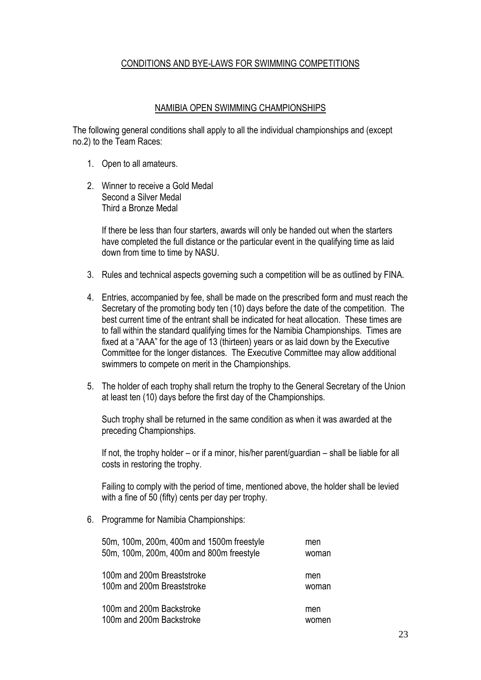#### CONDITIONS AND BYE-LAWS FOR SWIMMING COMPETITIONS

#### NAMIBIA OPEN SWIMMING CHAMPIONSHIPS

The following general conditions shall apply to all the individual championships and (except no.2) to the Team Races:

- 1. Open to all amateurs.
- 2. Winner to receive a Gold Medal Second a Silver Medal Third a Bronze Medal

If there be less than four starters, awards will only be handed out when the starters have completed the full distance or the particular event in the qualifying time as laid down from time to time by NASU.

- 3. Rules and technical aspects governing such a competition will be as outlined by FINA.
- 4. Entries, accompanied by fee, shall be made on the prescribed form and must reach the Secretary of the promoting body ten (10) days before the date of the competition. The best current time of the entrant shall be indicated for heat allocation. These times are to fall within the standard qualifying times for the Namibia Championships. Times are fixed at a "AAA" for the age of 13 (thirteen) years or as laid down by the Executive Committee for the longer distances. The Executive Committee may allow additional swimmers to compete on merit in the Championships.
- 5. The holder of each trophy shall return the trophy to the General Secretary of the Union at least ten (10) days before the first day of the Championships.

Such trophy shall be returned in the same condition as when it was awarded at the preceding Championships.

If not, the trophy holder – or if a minor, his/her parent/guardian – shall be liable for all costs in restoring the trophy.

Failing to comply with the period of time, mentioned above, the holder shall be levied with a fine of 50 (fifty) cents per day per trophy.

6. Programme for Namibia Championships:

| 50m, 100m, 200m, 400m and 1500m freestyle | men   |
|-------------------------------------------|-------|
| 50m, 100m, 200m, 400m and 800m freestyle  | woman |
| 100m and 200m Breaststroke                | men   |
| 100m and 200m Breaststroke                | woman |
| 100m and 200m Backstroke                  | men   |
| 100m and 200m Backstroke                  | women |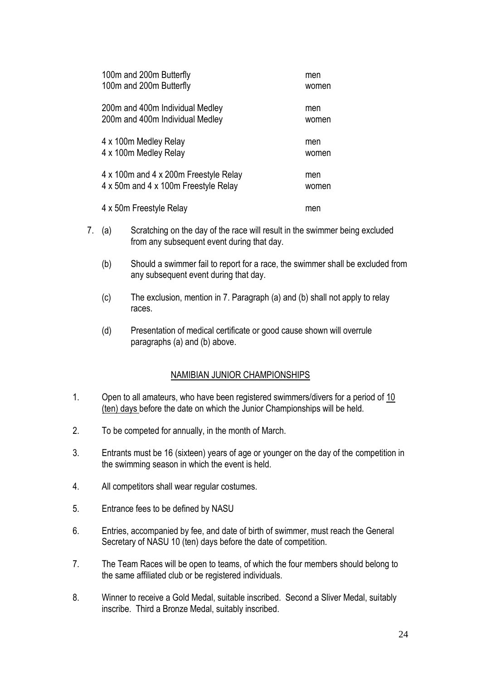| 100m and 200m Butterfly               | men   |
|---------------------------------------|-------|
| 100m and 200m Butterfly               | women |
| 200m and 400m Individual Medley       | men   |
| 200m and 400m Individual Medley       | women |
| 4 x 100m Medley Relay                 | men   |
| 4 x 100m Medley Relay                 | women |
| 4 x 100m and 4 x 200m Freestyle Relay | men   |
| 4 x 50m and 4 x 100m Freestyle Relay  | women |
| 4 x 50m Freestyle Relay               | men   |

- 7. (a) Scratching on the day of the race will result in the swimmer being excluded from any subsequent event during that day.
	- (b) Should a swimmer fail to report for a race, the swimmer shall be excluded from any subsequent event during that day.
	- (c) The exclusion, mention in 7. Paragraph (a) and (b) shall not apply to relay races.
	- (d) Presentation of medical certificate or good cause shown will overrule paragraphs (a) and (b) above.

#### NAMIBIAN JUNIOR CHAMPIONSHIPS

- 1. Open to all amateurs, who have been registered swimmers/divers for a period of 10 (ten) days before the date on which the Junior Championships will be held.
- 2. To be competed for annually, in the month of March.
- 3. Entrants must be 16 (sixteen) years of age or younger on the day of the competition in the swimming season in which the event is held.
- 4. All competitors shall wear regular costumes.
- 5. Entrance fees to be defined by NASU
- 6. Entries, accompanied by fee, and date of birth of swimmer, must reach the General Secretary of NASU 10 (ten) days before the date of competition.
- 7. The Team Races will be open to teams, of which the four members should belong to the same affiliated club or be registered individuals.
- 8. Winner to receive a Gold Medal, suitable inscribed. Second a Sliver Medal, suitably inscribe. Third a Bronze Medal, suitably inscribed.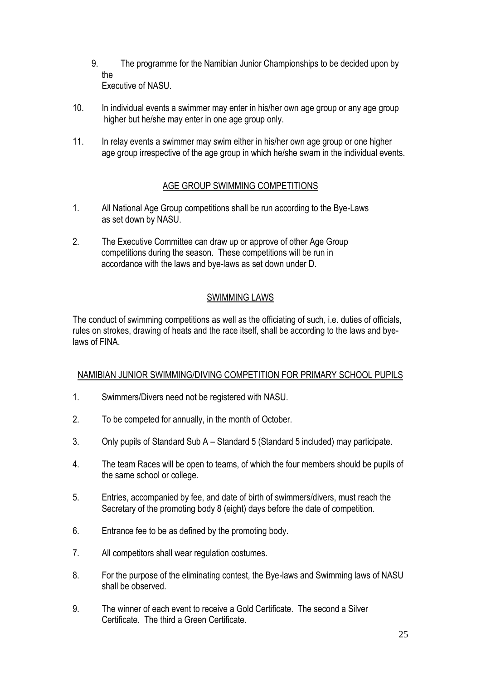- 9. The programme for the Namibian Junior Championships to be decided upon by the Executive of NASU.
- 10. In individual events a swimmer may enter in his/her own age group or any age group higher but he/she may enter in one age group only.
- 11. In relay events a swimmer may swim either in his/her own age group or one higher age group irrespective of the age group in which he/she swam in the individual events.

#### AGE GROUP SWIMMING COMPETITIONS

- 1. All National Age Group competitions shall be run according to the Bye-Laws as set down by NASU.
- 2. The Executive Committee can draw up or approve of other Age Group competitions during the season. These competitions will be run in accordance with the laws and bye-laws as set down under D.

#### SWIMMING LAWS

The conduct of swimming competitions as well as the officiating of such, i.e. duties of officials, rules on strokes, drawing of heats and the race itself, shall be according to the laws and byelaws of FINA.

#### NAMIBIAN JUNIOR SWIMMING/DIVING COMPETITION FOR PRIMARY SCHOOL PUPILS

- 1. Swimmers/Divers need not be registered with NASU.
- 2. To be competed for annually, in the month of October.
- 3. Only pupils of Standard Sub A Standard 5 (Standard 5 included) may participate.
- 4. The team Races will be open to teams, of which the four members should be pupils of the same school or college.
- 5. Entries, accompanied by fee, and date of birth of swimmers/divers, must reach the Secretary of the promoting body 8 (eight) days before the date of competition.
- 6. Entrance fee to be as defined by the promoting body.
- 7. All competitors shall wear regulation costumes.
- 8. For the purpose of the eliminating contest, the Bye-laws and Swimming laws of NASU shall be observed.
- 9. The winner of each event to receive a Gold Certificate. The second a Silver Certificate. The third a Green Certificate.